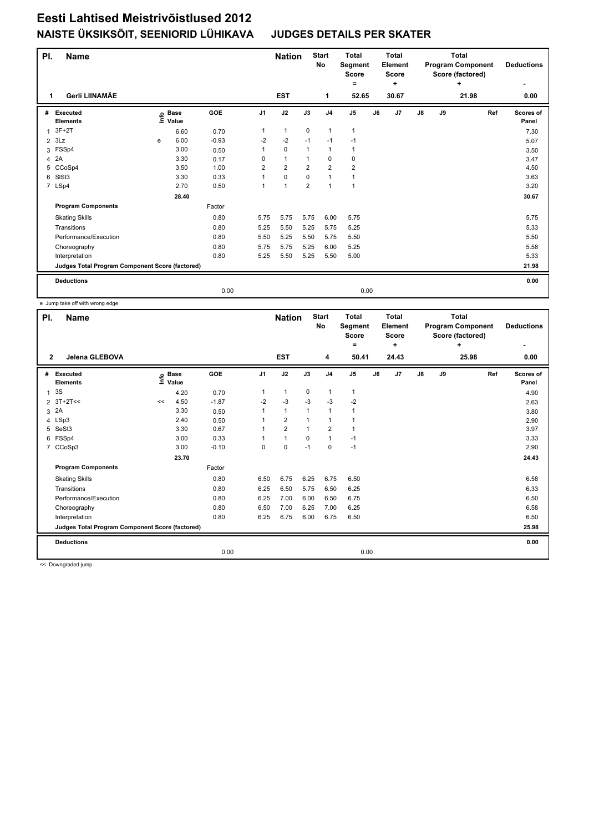## **Eesti Lahtised Meistrivõistlused 2012 NAISTE ÜKSIKSÕIT, SEENIORID LÜHIKAVA JUDGES DETAILS PER SKATER**

| PI. | <b>Name</b>                                     |      |                      |         |                | <b>Nation</b>  |                | <b>Start</b><br><b>No</b> | <b>Total</b><br>Segment<br><b>Score</b><br>۰ |      | <b>Total</b><br>Element<br><b>Score</b><br>÷ |    |    | <b>Total</b><br><b>Program Component</b><br>Score (factored)<br>÷ | <b>Deductions</b><br>٠ |
|-----|-------------------------------------------------|------|----------------------|---------|----------------|----------------|----------------|---------------------------|----------------------------------------------|------|----------------------------------------------|----|----|-------------------------------------------------------------------|------------------------|
| 1   | Gerli LIINAMÄE                                  |      |                      |         |                | <b>EST</b>     |                | $\mathbf{1}$              | 52.65                                        |      | 30.67                                        |    |    | 21.98                                                             | 0.00                   |
| #   | Executed<br><b>Elements</b>                     | ١nf٥ | <b>Base</b><br>Value | GOE     | J <sub>1</sub> | J2             | J3             | J <sub>4</sub>            | J <sub>5</sub>                               | J6   | J <sub>7</sub>                               | J8 | J9 | Ref                                                               | Scores of<br>Panel     |
| 1   | $3F+2T$                                         |      | 6.60                 | 0.70    | 1              | $\mathbf{1}$   | $\mathbf 0$    | $\mathbf{1}$              | $\mathbf{1}$                                 |      |                                              |    |    |                                                                   | 7.30                   |
|     | $2$ $3Lz$                                       | e    | 6.00                 | $-0.93$ | $-2$           | $-2$           | $-1$           | $-1$                      | $-1$                                         |      |                                              |    |    |                                                                   | 5.07                   |
| 3   | FSSp4                                           |      | 3.00                 | 0.50    | 1              | $\mathbf 0$    | $\mathbf{1}$   | $\mathbf{1}$              | $\mathbf{1}$                                 |      |                                              |    |    |                                                                   | 3.50                   |
| 4   | 2A                                              |      | 3.30                 | 0.17    | 0              | $\mathbf{1}$   | $\overline{1}$ | $\mathbf 0$               | 0                                            |      |                                              |    |    |                                                                   | 3.47                   |
| 5   | CCoSp4                                          |      | 3.50                 | 1.00    | $\overline{2}$ | $\overline{2}$ | $\overline{2}$ | $\overline{2}$            | $\overline{\mathbf{c}}$                      |      |                                              |    |    |                                                                   | 4.50                   |
| 6   | SISt <sub>3</sub>                               |      | 3.30                 | 0.33    | 1              | $\mathbf 0$    | $\Omega$       | $\overline{1}$            | 1                                            |      |                                              |    |    |                                                                   | 3.63                   |
|     | 7 LSp4                                          |      | 2.70                 | 0.50    | 1              | $\overline{1}$ | $\overline{2}$ | $\overline{1}$            | $\mathbf{1}$                                 |      |                                              |    |    |                                                                   | 3.20                   |
|     |                                                 |      | 28.40                |         |                |                |                |                           |                                              |      |                                              |    |    |                                                                   | 30.67                  |
|     | <b>Program Components</b>                       |      |                      | Factor  |                |                |                |                           |                                              |      |                                              |    |    |                                                                   |                        |
|     | <b>Skating Skills</b>                           |      |                      | 0.80    | 5.75           | 5.75           | 5.75           | 6.00                      | 5.75                                         |      |                                              |    |    |                                                                   | 5.75                   |
|     | Transitions                                     |      |                      | 0.80    | 5.25           | 5.50           | 5.25           | 5.75                      | 5.25                                         |      |                                              |    |    |                                                                   | 5.33                   |
|     | Performance/Execution                           |      |                      | 0.80    | 5.50           | 5.25           | 5.50           | 5.75                      | 5.50                                         |      |                                              |    |    |                                                                   | 5.50                   |
|     | Choreography                                    |      |                      | 0.80    | 5.75           | 5.75           | 5.25           | 6.00                      | 5.25                                         |      |                                              |    |    |                                                                   | 5.58                   |
|     | Interpretation                                  |      |                      | 0.80    | 5.25           | 5.50           | 5.25           | 5.50                      | 5.00                                         |      |                                              |    |    |                                                                   | 5.33                   |
|     | Judges Total Program Component Score (factored) |      |                      |         |                |                |                |                           |                                              |      |                                              |    |    |                                                                   | 21.98                  |
|     | <b>Deductions</b>                               |      |                      |         |                |                |                |                           |                                              |      |                                              |    |    |                                                                   | 0.00                   |
|     |                                                 |      |                      | 0.00    |                |                |                |                           |                                              | 0.00 |                                              |    |    |                                                                   |                        |

e Jump take off with wrong edge

| PI.          | <b>Name</b>                                     |    |                            |         |                | <b>Nation</b>  |              | <b>Start</b><br>No | <b>Total</b><br>Segment<br><b>Score</b><br>٠ |    | <b>Total</b><br>Element<br><b>Score</b><br>٠ |               |    | <b>Total</b><br><b>Program Component</b><br>Score (factored)<br>÷ | <b>Deductions</b>  |
|--------------|-------------------------------------------------|----|----------------------------|---------|----------------|----------------|--------------|--------------------|----------------------------------------------|----|----------------------------------------------|---------------|----|-------------------------------------------------------------------|--------------------|
| $\mathbf{2}$ | Jelena GLEBOVA                                  |    |                            |         |                | <b>EST</b>     |              | 4                  | 50.41                                        |    | 24.43                                        |               |    | 25.98                                                             | 0.00               |
| #            | Executed<br><b>Elements</b>                     |    | e Base<br>E Value<br>Value | GOE     | J <sub>1</sub> | J2             | J3           | J <sub>4</sub>     | J <sub>5</sub>                               | J6 | J <sub>7</sub>                               | $\mathsf{J}8$ | J9 | Ref                                                               | Scores of<br>Panel |
| $\mathbf{1}$ | 3S                                              |    | 4.20                       | 0.70    | 1              | $\mathbf{1}$   | 0            | $\mathbf{1}$       | $\mathbf{1}$                                 |    |                                              |               |    |                                                                   | 4.90               |
|              | 2 3T+2T<<                                       | << | 4.50                       | $-1.87$ | $-2$           | $-3$           | $-3$         | $-3$               | $-2$                                         |    |                                              |               |    |                                                                   | 2.63               |
| 3            | 2A                                              |    | 3.30                       | 0.50    | 1              | $\mathbf{1}$   | 1            | $\mathbf{1}$       | 1                                            |    |                                              |               |    |                                                                   | 3.80               |
|              | 4 LSp3                                          |    | 2.40                       | 0.50    | 1              | $\overline{2}$ | 1            | $\mathbf{1}$       | $\overline{1}$                               |    |                                              |               |    |                                                                   | 2.90               |
| 5            | SeSt3                                           |    | 3.30                       | 0.67    | 1              | $\overline{2}$ | $\mathbf{1}$ | $\overline{2}$     | 1                                            |    |                                              |               |    |                                                                   | 3.97               |
|              | 6 FSSp4                                         |    | 3.00                       | 0.33    | 1              | $\mathbf{1}$   | 0            | $\mathbf{1}$       | $-1$                                         |    |                                              |               |    |                                                                   | 3.33               |
|              | 7 CCoSp3                                        |    | 3.00                       | $-0.10$ | 0              | 0              | $-1$         | $\mathbf 0$        | $-1$                                         |    |                                              |               |    |                                                                   | 2.90               |
|              |                                                 |    | 23.70                      |         |                |                |              |                    |                                              |    |                                              |               |    |                                                                   | 24.43              |
|              | <b>Program Components</b>                       |    |                            | Factor  |                |                |              |                    |                                              |    |                                              |               |    |                                                                   |                    |
|              | <b>Skating Skills</b>                           |    |                            | 0.80    | 6.50           | 6.75           | 6.25         | 6.75               | 6.50                                         |    |                                              |               |    |                                                                   | 6.58               |
|              | Transitions                                     |    |                            | 0.80    | 6.25           | 6.50           | 5.75         | 6.50               | 6.25                                         |    |                                              |               |    |                                                                   | 6.33               |
|              | Performance/Execution                           |    |                            | 0.80    | 6.25           | 7.00           | 6.00         | 6.50               | 6.75                                         |    |                                              |               |    |                                                                   | 6.50               |
|              | Choreography                                    |    |                            | 0.80    | 6.50           | 7.00           | 6.25         | 7.00               | 6.25                                         |    |                                              |               |    |                                                                   | 6.58               |
|              | Interpretation                                  |    |                            | 0.80    | 6.25           | 6.75           | 6.00         | 6.75               | 6.50                                         |    |                                              |               |    |                                                                   | 6.50               |
|              | Judges Total Program Component Score (factored) |    |                            |         |                |                |              |                    |                                              |    |                                              |               |    |                                                                   | 25.98              |
|              | <b>Deductions</b>                               |    |                            |         |                |                |              |                    |                                              |    |                                              |               |    |                                                                   | 0.00               |
|              |                                                 |    |                            | 0.00    |                |                |              |                    | 0.00                                         |    |                                              |               |    |                                                                   |                    |

<< Downgraded jump